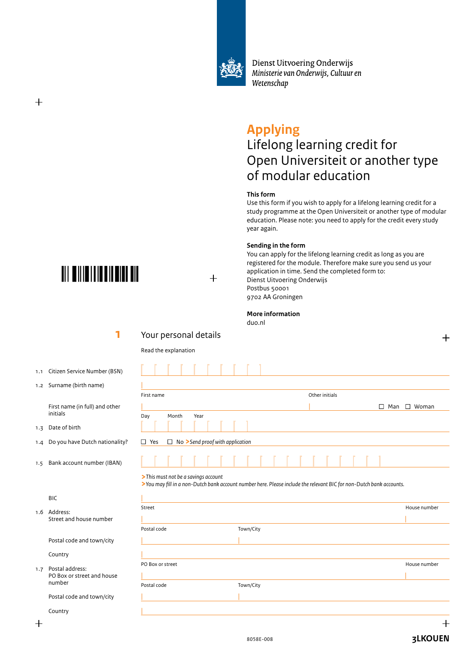

Dienst Uitvoering Onderwijs Ministerie van Onderwijs, Cultuur en Wetenschap

# **Applying**

# Lifelong learning credit for Open Universiteit or another type of modular education

### **This form**

Use this form if you wish to apply for a lifelong learning credit for a study programme at the Open Universiteit or another type of modular education. Please note: you need to apply for the credit every study year again.

### **Sending in the form**

You can apply for the lifelong learning credit as long as you are registered for the module. Therefore make sure you send us your application in time. Send the completed form to: Dienst Uitvoering Onderwijs Postbus 50001 9702 AA Groningen

#### **More information**

duo.nl



### **>***This must not be a savings account*

**>***You may fill in a non-Dutch bank account number here. Please include the relevant BIC for non-Dutch bank accounts.*

|     | <b>BIC</b>                 |                  |           |              |
|-----|----------------------------|------------------|-----------|--------------|
| 1.7 | 1.6 Address:               | Street           |           | House number |
|     | Street and house number    |                  |           |              |
|     |                            | Postal code      | Town/City |              |
|     | Postal code and town/city  |                  |           |              |
|     | Country                    |                  |           |              |
|     | Postal address:            | PO Box or street |           | House number |
|     | PO Box or street and house |                  |           |              |
|     | number                     | Postal code      | Town/City |              |
|     | Postal code and town/city  |                  |           |              |
|     | Country                    |                  |           |              |



## $+$

 **1** Your personal details

Read the explanation

- 1.1 Citizen Service Number (BSN)
- 1.2 Surname (birth name)

 First name (in full) and other initials

1.3 Date of birth

 $^{+}$ 

- 1.4 Do you have Dutch nationality?
- *1.5* Bank account number (IBAN)

┵

**3LKOUEN**

 $\,$   $+$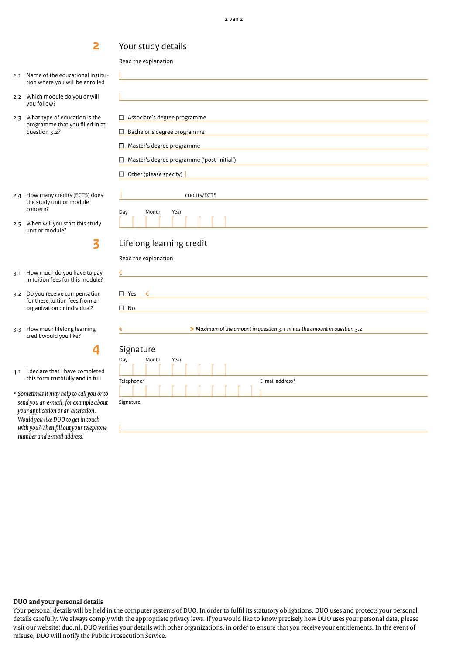### Your study details

Read the explanation

|

2.1 Name of the educational institution where you will be enrolled

**2**

- 2.2 Which module do you or will you follow?
- 2.3 What type of education is the programme that you filled in at question 3.2?
- 2.4 How many credits (ECTS) does the study unit or module concern?
- 2.5 When will you start this study unit or module?

**3**

3.1 How much do you have to pay in tuition fees for this module?

- 3.2 Do you receive compensation for these tuition fees from an organization or individual?
- 3.3 How much lifelong learning credit would you like?

**4**

- 4.1 I declare that I have completed this form truthfully and in full
- *\* Sometimes it may help to call you or to send you an e-mail, for example about your application or an alteration. Would you like DUO to get in touch with you? Then fill out your telephone number and e-mail address.*

| П                      | Associate's degree programme               |
|------------------------|--------------------------------------------|
|                        | Bachelor's degree programme                |
|                        | Master's degree programme                  |
|                        | Master's degree programme ('post-initial') |
| Other (please specify) |                                            |
|                        | credits/ECTS                               |
| Month<br>Day           | Year                                       |
|                        |                                            |
|                        |                                            |

### Lifelong learning credit

Read the explanation

| $\Box$ Yes $\epsilon$ |  |  |  |  |
|-----------------------|--|--|--|--|
| $\square$ No          |  |  |  |  |
|                       |  |  |  |  |

€ **>** *Maximum of the amount in question 3.1 minus the amount in question 3.2*

## Signature

Signature

€

| <b>Siqual</b> |  |                                                      |  |      |  |  |   |  |                 |
|---------------|--|------------------------------------------------------|--|------|--|--|---|--|-----------------|
| Day           |  | Month                                                |  | Year |  |  |   |  |                 |
|               |  | $\mathcal{L}$ . The state of the state $\mathcal{L}$ |  |      |  |  |   |  |                 |
| Telephone*    |  |                                                      |  |      |  |  |   |  | E-mail address* |
|               |  |                                                      |  |      |  |  | . |  |                 |
| Signature     |  |                                                      |  |      |  |  |   |  |                 |
|               |  |                                                      |  |      |  |  |   |  |                 |
|               |  |                                                      |  |      |  |  |   |  |                 |

### **DUO and your personal details**

Your personal details will be held in the computer systems of DUO. In order to fulfil its statutory obligations, DUO uses and protects your personal details carefully. We always comply with the appropriate privacy laws. If you would like to know precisely how DUO uses your personal data, please visit our website: duo.nl. DUO verifies your details with other organizations, in order to ensure that you receive your entitlements. In the event of misuse, DUO will notify the Public Prosecution Service.